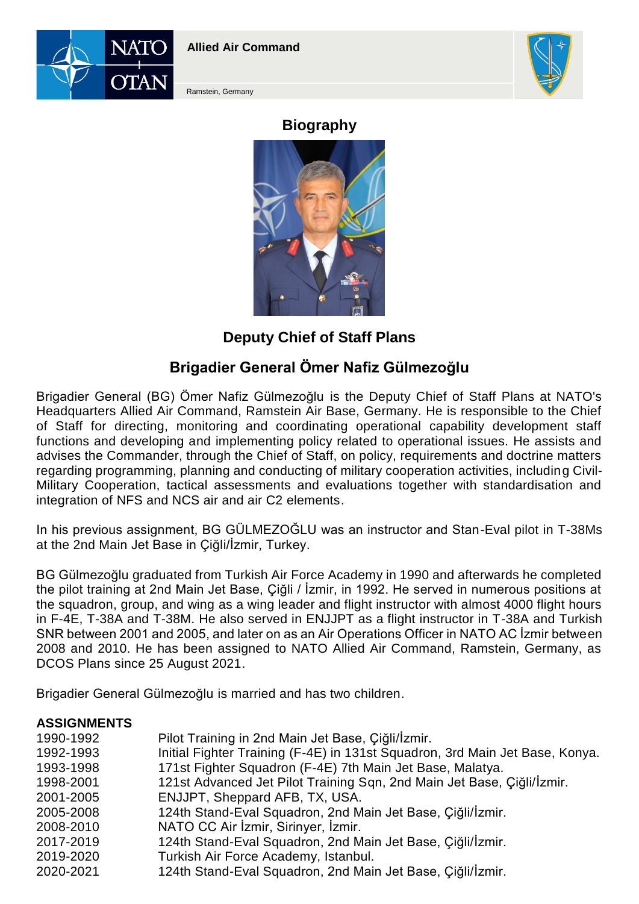



Ramstein, Germany

# **Biography**



## **Deputy Chief of Staff Plans**

# **Brigadier General Ömer Nafiz Gülmezoğlu**

Brigadier General (BG) Ömer Nafiz Gülmezoğlu is the Deputy Chief of Staff Plans at NATO's Headquarters Allied Air Command, Ramstein Air Base, Germany. He is responsible to the Chief of Staff for directing, monitoring and coordinating operational capability development staff functions and developing and implementing policy related to operational issues. He assists and advises the Commander, through the Chief of Staff, on policy, requirements and doctrine matters regarding programming, planning and conducting of military cooperation activities, including Civil-Military Cooperation, tactical assessments and evaluations together with standardisation and integration of NFS and NCS air and air C2 elements.

In his previous assignment, BG GÜLMEZOĞLU was an instructor and Stan-Eval pilot in T-38Ms at the 2nd Main Jet Base in Çiğli/İzmir, Turkey.

BG Gülmezoğlu graduated from Turkish Air Force Academy in 1990 and afterwards he completed the pilot training at 2nd Main Jet Base, Çiğli / İzmir, in 1992. He served in numerous positions at the squadron, group, and wing as a wing leader and flight instructor with almost 4000 flight hours in F-4E, T-38A and T-38M. He also served in ENJJPT as a flight instructor in T-38A and Turkish SNR between 2001 and 2005, and later on as an Air Operations Officer in NATO AC İzmir between 2008 and 2010. He has been assigned to NATO Allied Air Command, Ramstein, Germany, as DCOS Plans since 25 August 2021.

Brigadier General Gülmezoğlu is married and has two children.

#### **ASSIGNMENTS**

| 1990-1992 | Pilot Training in 2nd Main Jet Base, Çiğli/İzmir.                            |
|-----------|------------------------------------------------------------------------------|
| 1992-1993 | Initial Fighter Training (F-4E) in 131st Squadron, 3rd Main Jet Base, Konya. |
| 1993-1998 | 171st Fighter Squadron (F-4E) 7th Main Jet Base, Malatya.                    |
| 1998-2001 | 121st Advanced Jet Pilot Training Sqn, 2nd Main Jet Base, Çiğli/İzmir.       |
| 2001-2005 | ENJJPT, Sheppard AFB, TX, USA.                                               |
| 2005-2008 | 124th Stand-Eval Squadron, 2nd Main Jet Base, Çiğli/İzmir.                   |
| 2008-2010 | NATO CC Air İzmir, Sirinyer, İzmir.                                          |
| 2017-2019 | 124th Stand-Eval Squadron, 2nd Main Jet Base, Çiğli/İzmir.                   |
| 2019-2020 | Turkish Air Force Academy, Istanbul.                                         |
| 2020-2021 | 124th Stand-Eval Squadron, 2nd Main Jet Base, Çiğli/İzmir.                   |
|           |                                                                              |